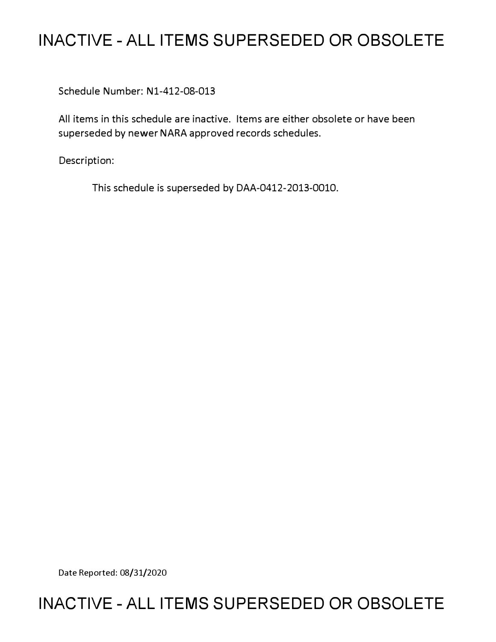# **INACTIVE - ALL ITEMS SUPERSEDED OR OBSOLETE**

Schedule Number: N1-412-08-013

All items in this schedule are inactive. Items are either obsolete or have been superseded by newer NARA approved records schedules.

Description:

This schedule is superseded by DAA-0412-2013-0010.

Date Reported: 08/31/2020

# **INACTIVE - ALL ITEMS SUPERSEDED OR OBSOLETE**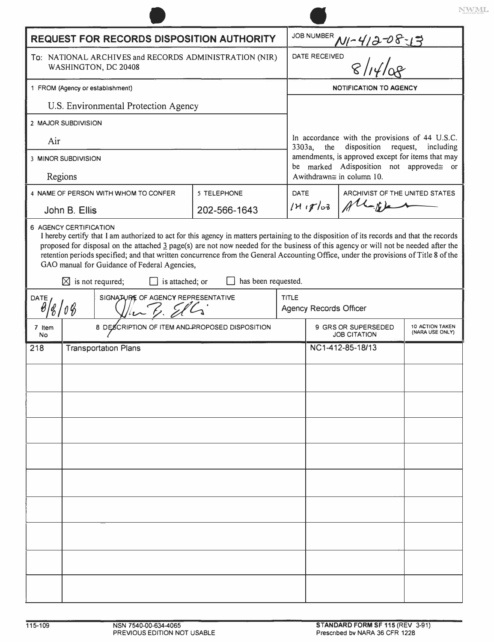| <b>REQUEST FOR RECORDS DISPOSITION AUTHORITY</b>                                                                     |                                                       |                             |  |                                                                                                                                                                                                   |                                  |                                           |
|----------------------------------------------------------------------------------------------------------------------|-------------------------------------------------------|-----------------------------|--|---------------------------------------------------------------------------------------------------------------------------------------------------------------------------------------------------|----------------------------------|-------------------------------------------|
| To: NATIONAL ARCHIVES and RECORDS ADMINISTRATION (NIR)<br>WASHINGTON, DC 20408                                       |                                                       |                             |  | JOB NUMBER $M/2$ - $4/3$ - $08$ - $13$<br>DATE RECEIVED                                                                                                                                           |                                  |                                           |
| 1 FROM (Agency or establishment)                                                                                     |                                                       |                             |  | <b>NOTIFICATION TO AGENCY</b>                                                                                                                                                                     |                                  |                                           |
|                                                                                                                      | U.S. Environmental Protection Agency                  |                             |  |                                                                                                                                                                                                   |                                  |                                           |
|                                                                                                                      | 2 MAJOR SUBDIVISION                                   |                             |  |                                                                                                                                                                                                   |                                  |                                           |
| Air                                                                                                                  |                                                       |                             |  | In accordance with the provisions of 44 U.S.C.<br>3303a,<br>the<br>disposition request, including<br>amendments, is approved except for items that may<br>be marked Adisposition not approved= or |                                  |                                           |
| 3 MINOR SUBDIVISION                                                                                                  |                                                       |                             |  |                                                                                                                                                                                                   |                                  |                                           |
|                                                                                                                      | Regions                                               |                             |  |                                                                                                                                                                                                   | Awithdrawn $\cong$ in column 10. |                                           |
|                                                                                                                      | 4 NAME OF PERSON WITH WHOM TO CONFER<br>John B. Ellis | 5 TELEPHONE<br>202-566-1643 |  | <b>DATE</b><br>14.17/03                                                                                                                                                                           | ARCHIVIST OF THE UNITED STATES   |                                           |
|                                                                                                                      | 6 AGENCY CERTIFICATION                                |                             |  |                                                                                                                                                                                                   |                                  |                                           |
| $\boxtimes$ is not required;<br>has been requested.<br>is attached; or<br>SIGNATURE OF AGENCY REPRESENTATIVE<br>DATE |                                                       |                             |  | <b>TITLE</b><br><b>Agency Records Officer</b>                                                                                                                                                     |                                  |                                           |
| 7 Item<br>No                                                                                                         | 8 DESCRIPTION OF ITEM AND PROPOSED DISPOSITION        |                             |  | 9 GRS OR SUPERSEDED<br><b>JOB CITATION</b>                                                                                                                                                        |                                  | <b>10 ACTION TAKEN</b><br>(NARA USE ONLY) |
| 218                                                                                                                  | <b>Transportation Plans</b>                           |                             |  |                                                                                                                                                                                                   |                                  |                                           |
|                                                                                                                      |                                                       |                             |  |                                                                                                                                                                                                   | NC1-412-85-18/13                 |                                           |
|                                                                                                                      |                                                       |                             |  |                                                                                                                                                                                                   |                                  |                                           |
|                                                                                                                      |                                                       |                             |  |                                                                                                                                                                                                   |                                  |                                           |
|                                                                                                                      |                                                       |                             |  |                                                                                                                                                                                                   |                                  |                                           |
|                                                                                                                      |                                                       |                             |  |                                                                                                                                                                                                   |                                  |                                           |
|                                                                                                                      |                                                       |                             |  |                                                                                                                                                                                                   |                                  |                                           |
|                                                                                                                      |                                                       |                             |  |                                                                                                                                                                                                   |                                  |                                           |
|                                                                                                                      |                                                       |                             |  |                                                                                                                                                                                                   |                                  |                                           |
|                                                                                                                      |                                                       |                             |  |                                                                                                                                                                                                   |                                  |                                           |
|                                                                                                                      |                                                       |                             |  |                                                                                                                                                                                                   |                                  |                                           |
|                                                                                                                      |                                                       |                             |  |                                                                                                                                                                                                   |                                  |                                           |
|                                                                                                                      |                                                       |                             |  |                                                                                                                                                                                                   |                                  |                                           |
|                                                                                                                      |                                                       |                             |  |                                                                                                                                                                                                   |                                  |                                           |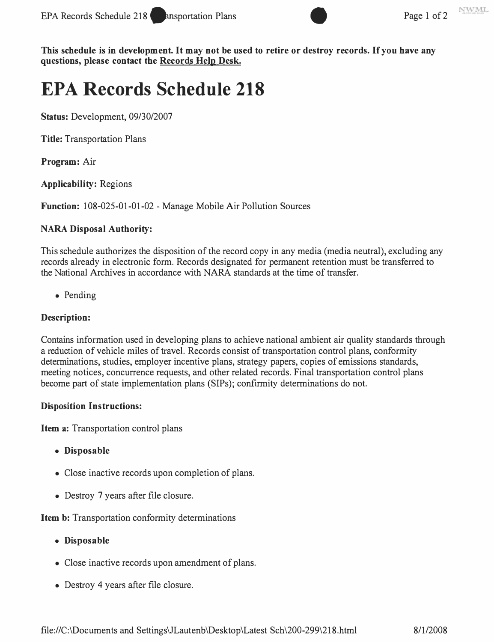

**This schedule is in development. It may not be used to retire or destroy records. If you have any questions, please contact the Records Help Desk.** 

# **EPA Records Schedule 218**

**Status:** Development, 09/30/2007

**Title:** Transportation Plans

**Program:** Air

**Applicability:** Regions

**Function:** 108-025-01-01-02 - Manage Mobile Air Pollution Sources

#### **NARA Disposal Authority:**

This schedule authorizes the disposition of the record copy in any media (media neutral), excluding any records already in electronic form. Records designated for permanent retention must be transferred to the National Archives in accordance with NARA standards at the time of transfer.

• Pending

# **Description:**

Contains information used in developing plans to achieve national ambient air quality standards through a reduction of vehicle miles of travel. Records consist of transportation control plans, conformity determinations, studies, employer incentive plans, strategy papers, copies of emissions standards, meeting notices, concurrence requests, and other related records. Final transportation control plans become part of state implementation plans (SIPs); confirmity determinations do not.

#### **Disposition Instructions:**

**Item a:** Transportation control plans

- **Disposable**
- Close inactive records upon completion of plans.
- Destroy 7 years after file closure.

**Item b:** Transportation conformity determinations

- **Disposable**
- Close inactive records upon amendment of plans.
- Destroy 4 years after file closure.